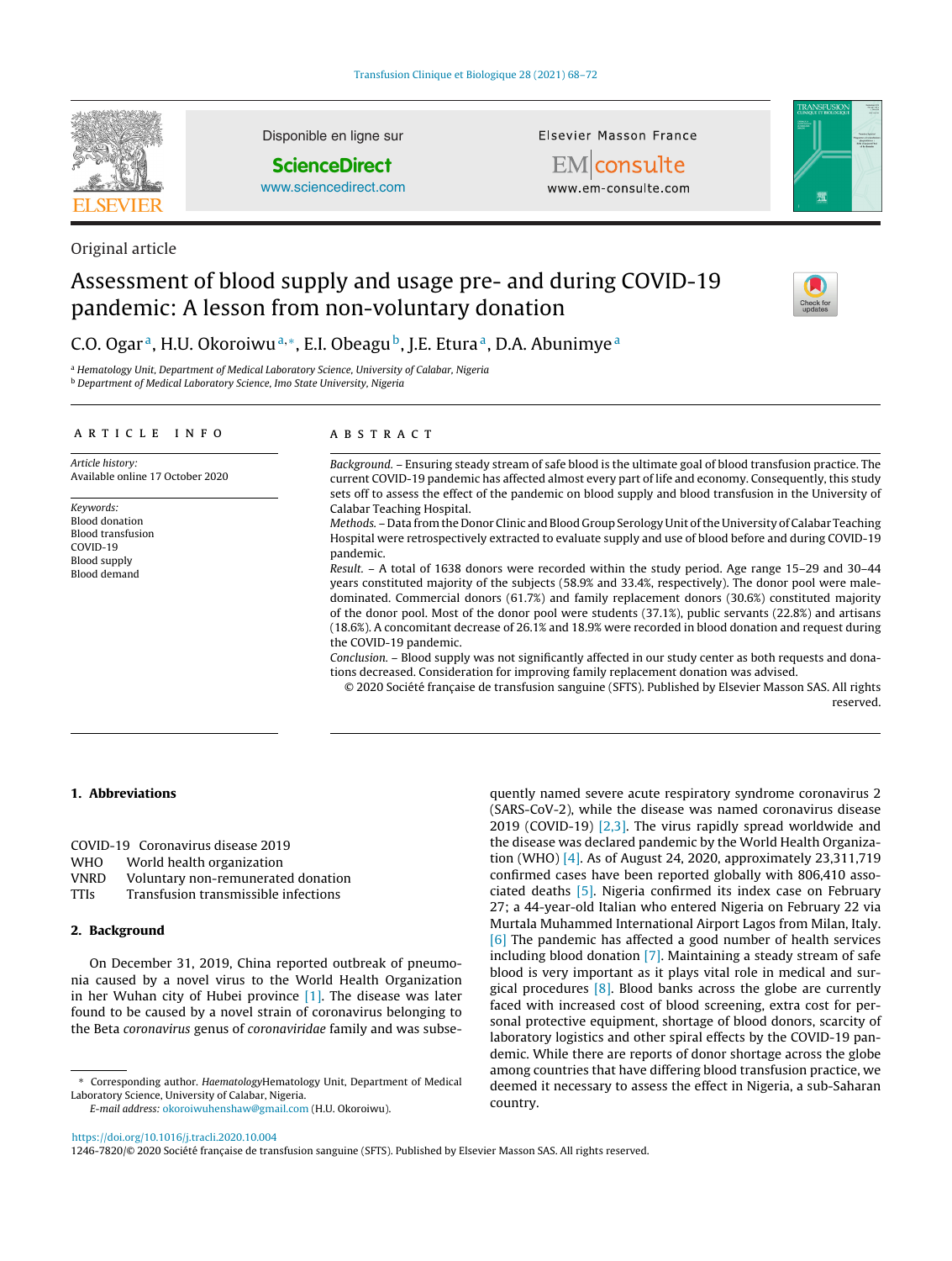

Disponible en ligne sur

**ScienceDirect**

[www.sciencedirect.com](http://www.sciencedirect.com/science/journal/12467820)

Elsevier Masson France





Original article

# Assessment of blood supply and usage pre- and during COVID-19 pandemic: A lesson from non-voluntary donation



# C.O. Ogar<sup>a</sup>, H.U. Okoroiwu<sup>a,\*</sup>, E.I. Obeagu<sup>b</sup>, J.E. Etura<sup>a</sup>, D.A. Abunimye<sup>a</sup>

<sup>a</sup> Hematology Unit, Department of Medical Laboratory Science, University of Calabar, Nigeria <sup>b</sup> Department of Medical Laboratory Science, Imo State University, Nigeria

#### a r t i c l e i n f o

Article history: Available online 17 October 2020

Keywords: Blood donation Blood transfusion COVID-19 Blood supply Blood demand

# A B S T R A C T

Background. – Ensuring steady stream of safe blood is the ultimate goal of blood transfusion practice. The current COVID-19 pandemic has affected almost every part of life and economy. Consequently, this study sets off to assess the effect of the pandemic on blood supply and blood transfusion in the University of Calabar Teaching Hospital.

Methods. – Data from the Donor Clinic and Blood Group Serology Unit ofthe University of Calabar Teaching Hospital were retrospectively extracted to evaluate supply and use of blood before and during COVID-19 pandemic.

Result. – A total of 1638 donors were recorded within the study period. Age range 15–29 and 30–44 years constituted majority of the subjects (58.9% and 33.4%, respectively). The donor pool were maledominated. Commercial donors (61.7%) and family replacement donors (30.6%) constituted majority of the donor pool. Most of the donor pool were students (37.1%), public servants (22.8%) and artisans (18.6%). A concomitant decrease of 26.1% and 18.9% were recorded in blood donation and request during the COVID-19 pandemic.

Conclusion. – Blood supply was not significantly affected in our study center as both requests and donations decreased. Consideration for improving family replacement donation was advised.

© 2020 Société française de transfusion sanguine (SFTS). Published by Elsevier Masson SAS. All rights reserved.

# **1. Abbreviations**

COVID-19 Coronavirus disease 2019 WHO World health organization VNRD Voluntary non-remunerated donation TTIs Transfusion transmissible infections

# **2. Background**

On December 31, 2019, China reported outbreak of pneumonia caused by a novel virus to the World Health Organization in her Wuhan city of Hubei province [\[1\].](#page-4-0) The disease was later found to be caused by a novel strain of coronavirus belonging to the Beta coronavirus genus of coronaviridae family and was subse-

∗ Corresponding author. HaematologyHematology Unit, Department of Medical Laboratory Science, University of Calabar, Nigeria.

E-mail address: [okoroiwuhenshaw@gmail.com](mailto:okoroiwuhenshaw@gmail.com) (H.U. Okoroiwu).

quently named severe acute respiratory syndrome coronavirus 2 (SARS-CoV-2), while the disease was named coronavirus disease 2019 (COVID-19) [\[2,3\].](#page-4-0) The virus rapidly spread worldwide and the disease was declared pandemic by the World Health Organization (WHO) [\[4\].](#page-4-0) As of August 24, 2020, approximately 23,311,719 confirmed cases have been reported globally with 806,410 associated deaths [\[5\].](#page-4-0) Nigeria confirmed its index case on February 27; a 44-year-old Italian who entered Nigeria on February 22 via Murtala Muhammed International Airport Lagos from Milan, Italy. [\[6\]](#page-4-0) The pandemic has affected a good number of health services including blood donation [\[7\].](#page-4-0) Maintaining a steady stream of safe blood is very important as it plays vital role in medical and surgical procedures [\[8\].](#page-4-0) Blood banks across the globe are currently faced with increased cost of blood screening, extra cost for personal protective equipment, shortage of blood donors, scarcity of laboratory logistics and other spiral effects by the COVID-19 pandemic. While there are reports of donor shortage across the globe among countries that have differing blood transfusion practice, we deemed it necessary to assess the effect in Nigeria, a sub-Saharan country.

<https://doi.org/10.1016/j.tracli.2020.10.004>

1246-7820/© 2020 Société française de transfusion sanguine (SFTS). Published by Elsevier Masson SAS. All rights reserved.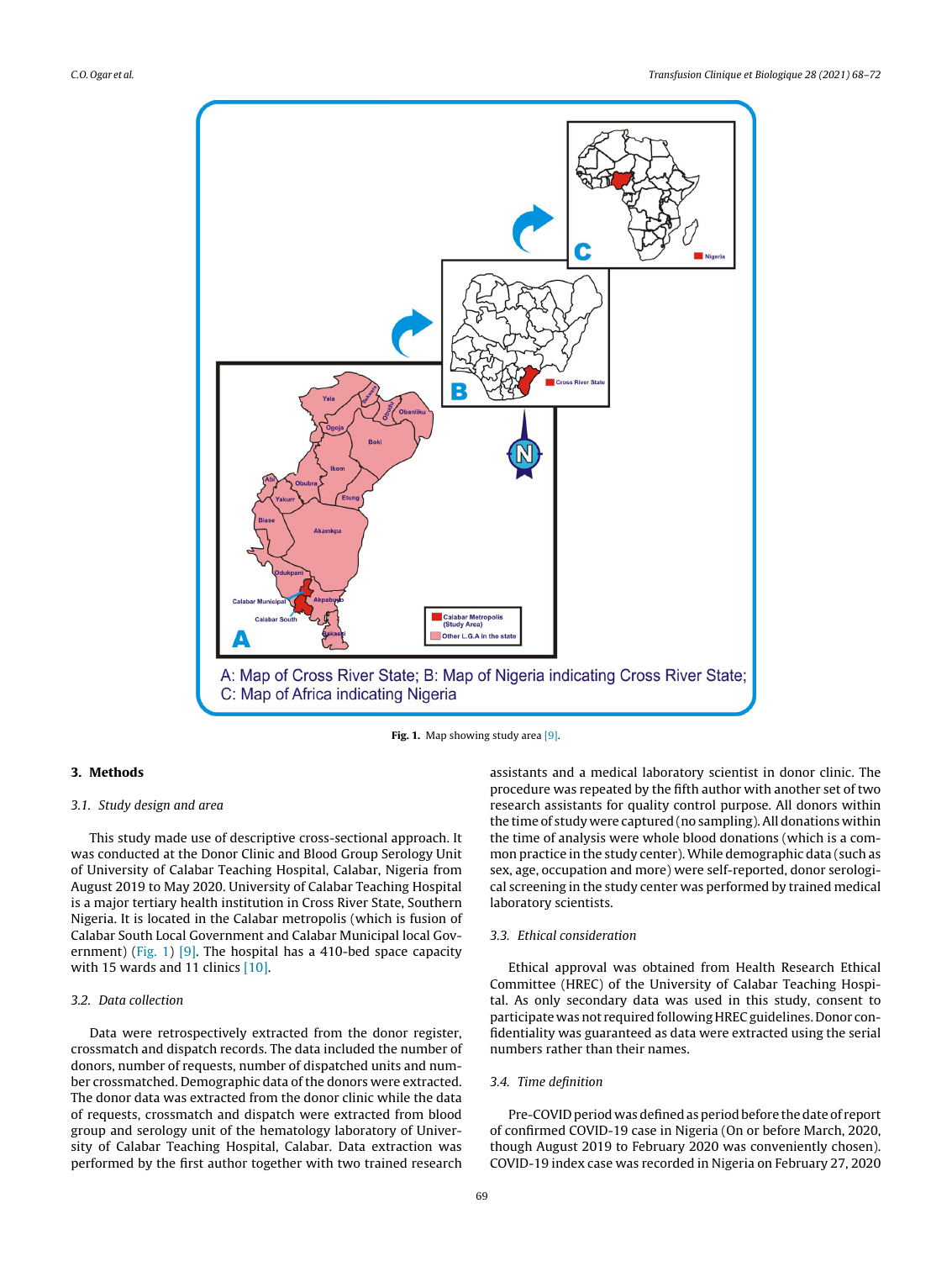

**Fig. 1.** Map showing study area [\[9\].](#page-4-0)

# **3. Methods**

## 3.1. Study design and area

This study made use of descriptive cross-sectional approach. It was conducted at the Donor Clinic and Blood Group Serology Unit of University of Calabar Teaching Hospital, Calabar, Nigeria from August 2019 to May 2020. University of Calabar Teaching Hospital is a major tertiary health institution in Cross River State, Southern Nigeria. It is located in the Calabar metropolis (which is fusion of Calabar South Local Government and Calabar Municipal local Gov-ernment) (Fig. 1) [\[9\].](#page-4-0) The hospital has a 410-bed space capacity with 15 wards and 11 clinics [\[10\].](#page-4-0)

# 3.2. Data collection

Data were retrospectively extracted from the donor register, crossmatch and dispatch records. The data included the number of donors, number of requests, number of dispatched units and number crossmatched. Demographic data of the donors were extracted. The donor data was extracted from the donor clinic while the data of requests, crossmatch and dispatch were extracted from blood group and serology unit of the hematology laboratory of University of Calabar Teaching Hospital, Calabar. Data extraction was performed by the first author together with two trained research

assistants and a medical laboratory scientist in donor clinic. The procedure was repeated by the fifth author with another set of two research assistants for quality control purpose. All donors within the time of study were captured (no sampling).All donations within the time of analysis were whole blood donations (which is a common practice in the study center). While demographic data (such as sex, age, occupation and more) were self-reported, donor serological screening in the study center was performed by trained medical laboratory scientists.

# 3.3. Ethical consideration

Ethical approval was obtained from Health Research Ethical Committee (HREC) of the University of Calabar Teaching Hospital. As only secondary data was used in this study, consent to participate was not required following HREC guidelines. Donor confidentiality was guaranteed as data were extracted using the serial numbers rather than their names.

#### 3.4. Time definition

Pre-COVID period was defined as period before the date of report of confirmed COVID-19 case in Nigeria (On or before March, 2020, though August 2019 to February 2020 was conveniently chosen). COVID-19 index case was recorded in Nigeria on February 27, 2020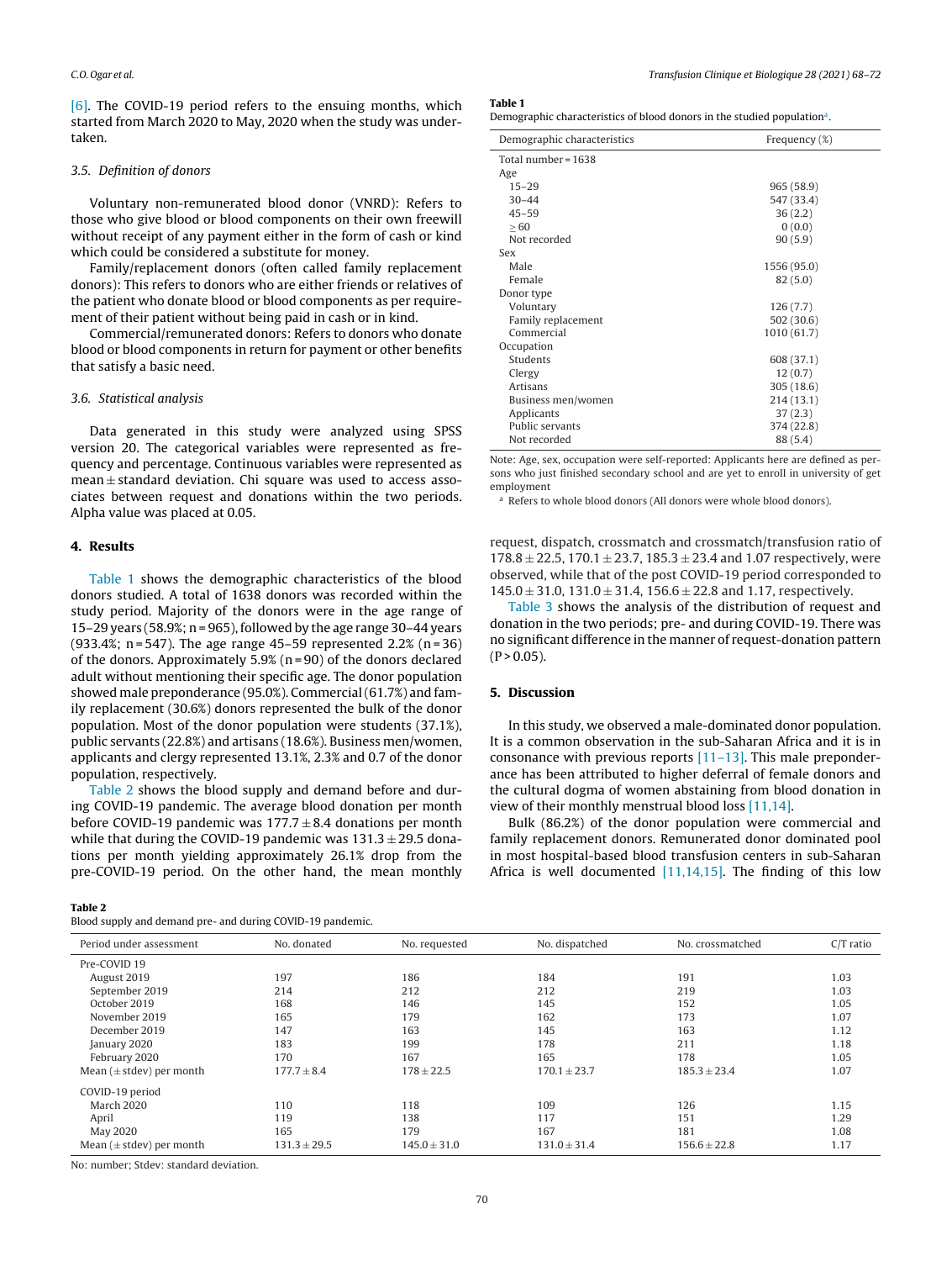[\[6\].](#page-4-0) The COVID-19 period refers to the ensuing months, which started from March 2020 to May, 2020 when the study was undertaken.

# 3.5. Definition of donors

Voluntary non-remunerated blood donor (VNRD): Refers to those who give blood or blood components on their own freewill without receipt of any payment either in the form of cash or kind which could be considered a substitute for money.

Family/replacement donors (often called family replacement donors): This refers to donors who are either friends or relatives of the patient who donate blood or blood components as per requirement of their patient without being paid in cash or in kind.

Commercial/remunerated donors: Refers to donors who donate blood or blood components in return for payment or other benefits that satisfy a basic need.

#### 3.6. Statistical analysis

Data generated in this study were analyzed using SPSS version 20. The categorical variables were represented as frequency and percentage. Continuous variables were represented as mean  $\pm$  standard deviation. Chi square was used to access associates between request and donations within the two periods. Alpha value was placed at 0.05.

#### **4. Results**

Table 1 shows the demographic characteristics of the blood donors studied. A total of 1638 donors was recorded within the study period. Majority of the donors were in the age range of 15–29 years (58.9%; n = 965), followed by the age range 30–44 years (933.4%; n = 547). The age range 45–59 represented 2.2% (n = 36) of the donors. Approximately  $5.9%$  (n = 90) of the donors declared adult without mentioning their specific age. The donor population showed male preponderance (95.0%). Commercial (61.7%) and family replacement (30.6%) donors represented the bulk of the donor population. Most of the donor population were students (37.1%), public servants (22.8%) and artisans (18.6%). Business men/women, applicants and clergy represented 13.1%, 2.3% and 0.7 of the donor population, respectively.

Table 2 shows the blood supply and demand before and during COVID-19 pandemic. The average blood donation per month before COVID-19 pandemic was  $177.7 \pm 8.4$  donations per month while that during the COVID-19 pandemic was  $131.3 \pm 29.5$  donations per month yielding approximately 26.1% drop from the pre-COVID-19 period. On the other hand, the mean monthly

#### **Table 2**

Blood supply and demand pre- and during COVID-19 pandemic.

#### **Table 1**

Demographic characteristics of blood donors in the studied population<sup>a</sup>.

| Demographic characteristics | Frequency (%) |
|-----------------------------|---------------|
| Total number = 1638         |               |
| Age                         |               |
| $15 - 29$                   | 965 (58.9)    |
| $30 - 44$                   | 547 (33.4)    |
| $45 - 59$                   | 36(2.2)       |
| > 60                        | 0(0.0)        |
| Not recorded                | 90(5.9)       |
| Sex                         |               |
| Male                        | 1556 (95.0)   |
| Female                      | 82(5.0)       |
| Donor type                  |               |
| Voluntary                   | 126(7.7)      |
| Family replacement          | 502 (30.6)    |
| Commercial                  | 1010(61.7)    |
| Occupation                  |               |
| Students                    | 608 (37.1)    |
| Clergy                      | 12(0.7)       |
| Artisans                    | 305(18.6)     |
| Business men/women          | 214(13.1)     |
| Applicants                  | 37(2.3)       |
| Public servants             | 374 (22.8)    |
| Not recorded                | 88 (5.4)      |
|                             |               |

Note: Age, sex, occupation were self-reported: Applicants here are defined as persons who just finished secondary school and are yet to enroll in university of get employment

<sup>a</sup> Refers to whole blood donors (All donors were whole blood donors).

request, dispatch, crossmatch and crossmatch/transfusion ratio of  $178.8 \pm 22.5$ ,  $170.1 \pm 23.7$ ,  $185.3 \pm 23.4$  and 1.07 respectively, were observed, while that of the post COVID-19 period corresponded to  $145.0 \pm 31.0$ ,  $131.0 \pm 31.4$ ,  $156.6 \pm 22.8$  and 1.17, respectively.

[Table](#page-3-0) 3 shows the analysis of the distribution of request and donation in the two periods; pre- and during COVID-19. There was no significant difference in the manner of request-donation pattern  $(P > 0.05)$ .

### **5. Discussion**

In this study, we observed a male-dominated donor population. It is a common observation in the sub-Saharan Africa and it is in consonance with previous reports [\[11–13\].](#page-4-0) This male preponderance has been attributed to higher deferral of female donors and the cultural dogma of women abstaining from blood donation in view of their monthly menstrual blood loss [\[11,14\].](#page-4-0)

Bulk (86.2%) of the donor population were commercial and family replacement donors. Remunerated donor dominated pool in most hospital-based blood transfusion centers in sub-Saharan Africa is well documented  $[11,14,15]$ . The finding of this low

| Period under assessment       | No. donated      | No. requested    | No. dispatched   | No. crossmatched | $C/T$ ratio |  |  |
|-------------------------------|------------------|------------------|------------------|------------------|-------------|--|--|
| Pre-COVID 19                  |                  |                  |                  |                  |             |  |  |
| August 2019                   | 197              | 186              | 184              | 191              | 1.03        |  |  |
| September 2019                | 214              | 212              | 212              | 219              | 1.03        |  |  |
| October 2019                  | 168              | 146              | 145              | 152              | 1.05        |  |  |
| November 2019                 | 165              | 179              | 162              | 173              | 1.07        |  |  |
| December 2019                 | 147              | 163              | 145              | 163              | 1.12        |  |  |
| January 2020                  | 183              | 199              | 178              | 211              | 1.18        |  |  |
| February 2020                 | 170              | 167              | 165              | 178              | 1.05        |  |  |
| Mean ( $\pm$ stdev) per month | $177.7 \pm 8.4$  | $178 \pm 22.5$   | $170.1 \pm 23.7$ | $185.3 \pm 23.4$ | 1.07        |  |  |
| COVID-19 period               |                  |                  |                  |                  |             |  |  |
| <b>March 2020</b>             | 110              | 118              | 109              | 126              | 1.15        |  |  |
| April                         | 119              | 138              | 117              | 151              | 1.29        |  |  |
| May 2020                      | 165              | 179              | 167              | 181              | 1.08        |  |  |
| Mean $(\pm$ stdev) per month  | $131.3 \pm 29.5$ | $145.0 \pm 31.0$ | $131.0 \pm 31.4$ | $156.6 \pm 22.8$ | 1.17        |  |  |

No: number; Stdev: standard deviation.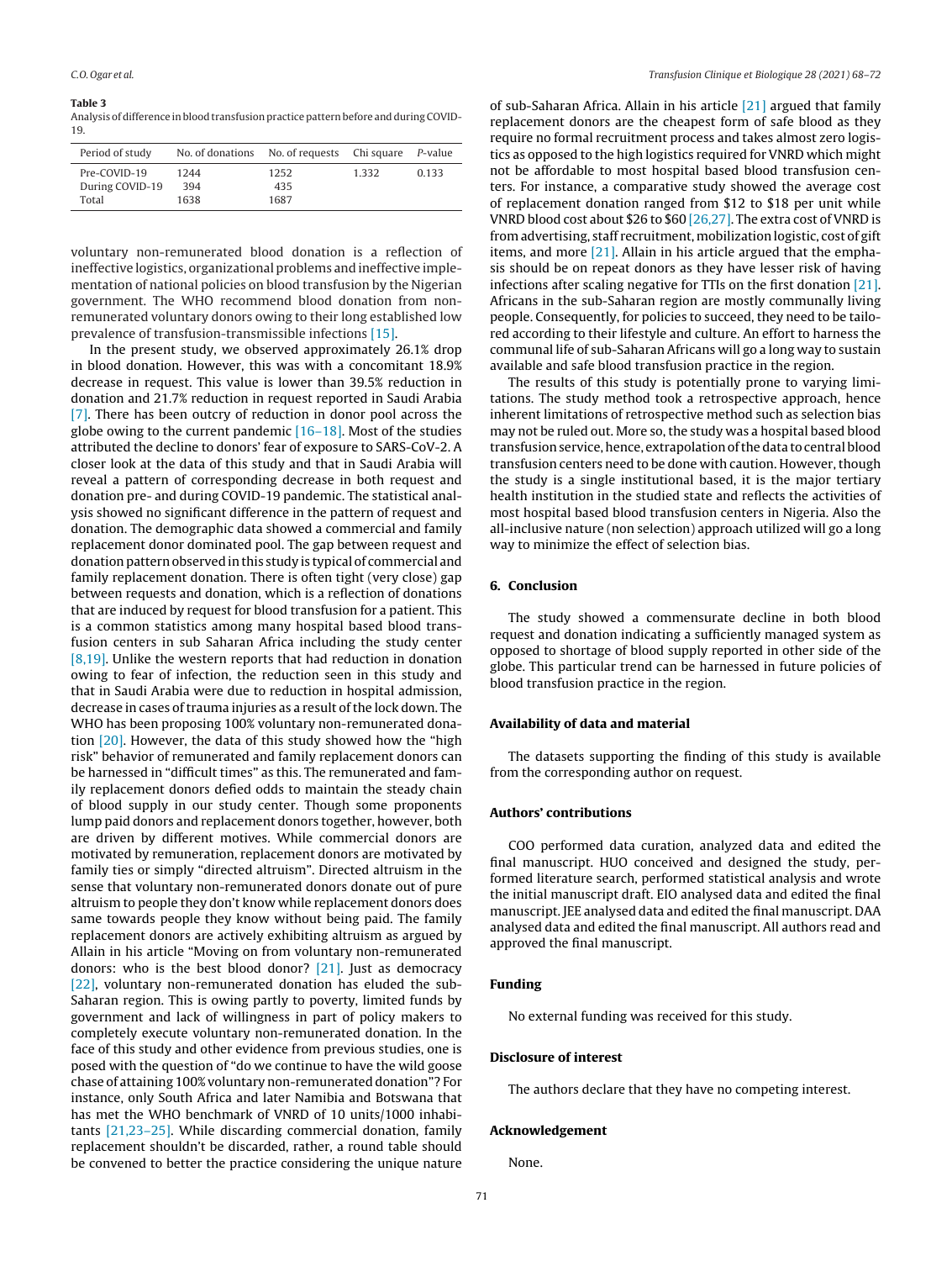#### <span id="page-3-0"></span>**Table 3**

Analysis of difference in blood transfusion practice pattern before and during COVID-19.

| Period of study | No. of donations No. of requests Chi square P-value |      |       |       |
|-----------------|-----------------------------------------------------|------|-------|-------|
| Pre-COVID-19    | 1244                                                | 1252 | 1.332 | 0.133 |
| During COVID-19 | 394                                                 | 435  |       |       |
| Total           | 1638                                                | 1687 |       |       |

voluntary non-remunerated blood donation is a reflection of ineffective logistics, organizational problems and ineffective implementation of national policies on blood transfusion by the Nigerian government. The WHO recommend blood donation from nonremunerated voluntary donors owing to their long established low prevalence of transfusion-transmissible infections [\[15\].](#page-4-0)

In the present study, we observed approximately 26.1% drop in blood donation. However, this was with a concomitant 18.9% decrease in request. This value is lower than 39.5% reduction in donation and 21.7% reduction in request reported in Saudi Arabia [\[7\].](#page-4-0) There has been outcry of reduction in donor pool across the globe owing to the current pandemic  $[16-18]$ . Most of the studies attributed the decline to donors' fear of exposure to SARS-CoV-2. A closer look at the data of this study and that in Saudi Arabia will reveal a pattern of corresponding decrease in both request and donation pre- and during COVID-19 pandemic. The statistical analysis showed no significant difference in the pattern of request and donation. The demographic data showed a commercial and family replacement donor dominated pool. The gap between request and donation pattern observed in this study is typical of commercial and family replacement donation. There is often tight (very close) gap between requests and donation, which is a reflection of donations that are induced by request for blood transfusion for a patient. This is a common statistics among many hospital based blood transfusion centers in sub Saharan Africa including the study center [\[8,19\].](#page-4-0) Unlike the western reports that had reduction in donation owing to fear of infection, the reduction seen in this study and that in Saudi Arabia were due to reduction in hospital admission, decrease in cases of trauma injuries as a result of the lock down. The WHO has been proposing 100% voluntary non-remunerated donation [\[20\].](#page-4-0) However, the data of this study showed how the "high risk" behavior of remunerated and family replacement donors can be harnessed in "difficult times" as this. The remunerated and family replacement donors defied odds to maintain the steady chain of blood supply in our study center. Though some proponents lump paid donors and replacement donors together, however, both are driven by different motives. While commercial donors are motivated by remuneration, replacement donors are motivated by family ties or simply "directed altruism". Directed altruism in the sense that voluntary non-remunerated donors donate out of pure altruism to people they don't know while replacement donors does same towards people they know without being paid. The family replacement donors are actively exhibiting altruism as argued by Allain in his article "Moving on from voluntary non-remunerated donors: who is the best blood donor? [\[21\].](#page-4-0) Just as democracy [\[22\],](#page-4-0) voluntary non-remunerated donation has eluded the sub-Saharan region. This is owing partly to poverty, limited funds by government and lack of willingness in part of policy makers to completely execute voluntary non-remunerated donation. In the face of this study and other evidence from previous studies, one is posed with the question of "do we continue to have the wild goose chase of attaining 100% voluntary non-remunerated donation"? For instance, only South Africa and later Namibia and Botswana that has met the WHO benchmark of VNRD of 10 units/1000 inhabitants [\[21,23–25\].](#page-4-0) While discarding commercial donation, family replacement shouldn't be discarded, rather, a round table should be convened to better the practice considering the unique nature

of sub-Saharan Africa. Allain in his article [\[21\]](#page-4-0) argued that family replacement donors are the cheapest form of safe blood as they require no formal recruitment process and takes almost zero logistics as opposed to the high logistics required for VNRD which might not be affordable to most hospital based blood transfusion centers. For instance, a comparative study showed the average cost of replacement donation ranged from \$12 to \$18 per unit while VNRD blood cost about \$26 to \$60 [\[26,27\].](#page-4-0) The extra cost of VNRD is from advertising, staff recruitment, mobilization logistic, cost of gift items, and more [\[21\].](#page-4-0) Allain in his article argued that the emphasis should be on repeat donors as they have lesser risk of having infections after scaling negative for TTIs on the first donation [\[21\].](#page-4-0) Africans in the sub-Saharan region are mostly communally living people. Consequently, for policies to succeed, they need to be tailored according to their lifestyle and culture. An effort to harness the communal life of sub-Saharan Africans will go a long way to sustain available and safe blood transfusion practice in the region.

The results of this study is potentially prone to varying limitations. The study method took a retrospective approach, hence inherent limitations of retrospective method such as selection bias may not be ruled out. More so, the study was a hospital based blood transfusion service, hence, extrapolation of the data to central blood transfusion centers need to be done with caution. However, though the study is a single institutional based, it is the major tertiary health institution in the studied state and reflects the activities of most hospital based blood transfusion centers in Nigeria. Also the all-inclusive nature (non selection) approach utilized will go a long way to minimize the effect of selection bias.

### **6. Conclusion**

The study showed a commensurate decline in both blood request and donation indicating a sufficiently managed system as opposed to shortage of blood supply reported in other side of the globe. This particular trend can be harnessed in future policies of blood transfusion practice in the region.

#### **Availability of data and material**

The datasets supporting the finding of this study is available from the corresponding author on request.

# **Authors' contributions**

COO performed data curation, analyzed data and edited the final manuscript. HUO conceived and designed the study, performed literature search, performed statistical analysis and wrote the initial manuscript draft. EIO analysed data and edited the final manuscript. JEE analysed data and edited the final manuscript. DAA analysed data and edited the final manuscript. All authors read and approved the final manuscript.

# **Funding**

No external funding was received for this study.

# **Disclosure of interest**

The authors declare that they have no competing interest.

#### **Acknowledgement**

None.